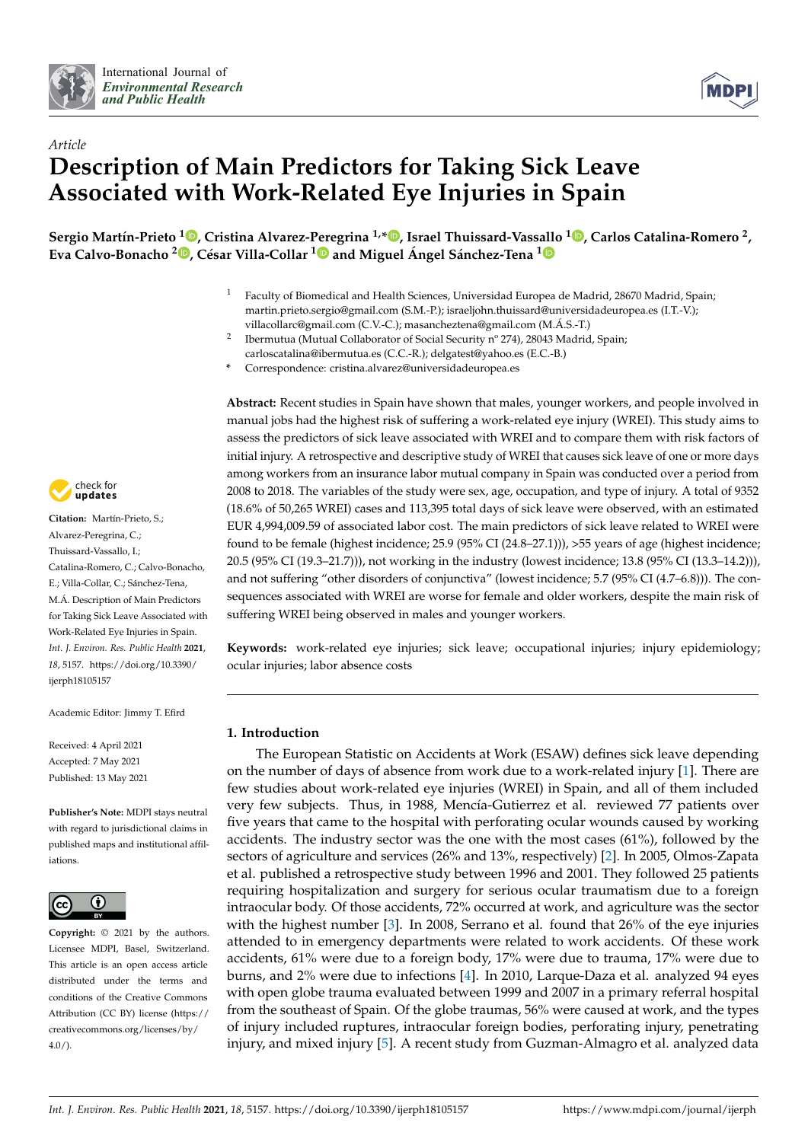



# *Article* **Description of Main Predictors for Taking Sick Leave Associated with Work-Related Eye Injuries in Spain**

Sergio Martín-Prieto <sup>1</sup>D[,](https://orcid.org/0000-0003-1097-4581) Cristina Alvarez-[Pere](https://orcid.org/0000-0002-6743-8264)grina <sup>[1](https://orcid.org/0000-0002-6990-0619),</sup>\*D, Israel Thuissard-Vassallo <sup>1</sup>D, Carlos Catalina-Romero <sup>2</sup>, **Eva Calvo-Bonacho <sup>2</sup> [,](https://orcid.org/0000-0001-6392-1956) César Villa-Collar <sup>1</sup> and Miguel Ángel Sánchez-Tena [1](https://orcid.org/0000-0002-2583-1789)**

- <sup>1</sup> Faculty of Biomedical and Health Sciences, Universidad Europea de Madrid, 28670 Madrid, Spain; martin.prieto.sergio@gmail.com (S.M.-P.); israeljohn.thuissard@universidadeuropea.es (I.T.-V.); villacollarc@gmail.com (C.V.-C.); masancheztena@gmail.com (M.Á.S.-T.)
- 2 Ibermutua (Mutual Collaborator of Social Security nº 274), 28043 Madrid, Spain; carloscatalina@ibermutua.es (C.C.-R.); delgatest@yahoo.es (E.C.-B.)
- **\*** Correspondence: cristina.alvarez@universidadeuropea.es

check for **-**

**Citation:** Martín-Prieto, S.; Alvarez-Peregrina, C.; Thuissard-Vassallo, I.; Catalina-Romero, C.; Calvo-Bonacho, E.; Villa-Collar, C.; Sánchez-Tena, M.Á. Description of Main Predictors for Taking Sick Leave Associated with Work-Related Eye Injuries in Spain. *Int. J. Environ. Res. Public Health* **2021**, *18*, 5157. [https://doi.org/10.3390/](https://doi.org/10.3390/ijerph18105157) [ijerph18105157](https://doi.org/10.3390/ijerph18105157)

Academic Editor: Jimmy T. Efird

Received: 4 April 2021 Accepted: 7 May 2021 Published: 13 May 2021

**Publisher's Note:** MDPI stays neutral with regard to jurisdictional claims in published maps and institutional affiliations.



**Copyright:** © 2021 by the authors. Licensee MDPI, Basel, Switzerland. This article is an open access article distributed under the terms and conditions of the Creative Commons Attribution (CC BY) license (https:/[/](https://creativecommons.org/licenses/by/4.0/) [creativecommons.org/licenses/by/](https://creativecommons.org/licenses/by/4.0/) 4.0/).

**Abstract:** Recent studies in Spain have shown that males, younger workers, and people involved in manual jobs had the highest risk of suffering a work-related eye injury (WREI). This study aims to assess the predictors of sick leave associated with WREI and to compare them with risk factors of initial injury. A retrospective and descriptive study of WREI that causes sick leave of one or more days among workers from an insurance labor mutual company in Spain was conducted over a period from 2008 to 2018. The variables of the study were sex, age, occupation, and type of injury. A total of 9352 (18.6% of 50,265 WREI) cases and 113,395 total days of sick leave were observed, with an estimated EUR 4,994,009.59 of associated labor cost. The main predictors of sick leave related to WREI were found to be female (highest incidence; 25.9 (95% CI (24.8–27.1))), >55 years of age (highest incidence; 20.5 (95% CI (19.3–21.7))), not working in the industry (lowest incidence; 13.8 (95% CI (13.3–14.2))), and not suffering "other disorders of conjunctiva" (lowest incidence; 5.7 (95% CI (4.7–6.8))). The consequences associated with WREI are worse for female and older workers, despite the main risk of suffering WREI being observed in males and younger workers.

**Keywords:** work-related eye injuries; sick leave; occupational injuries; injury epidemiology; ocular injuries; labor absence costs

# **1. Introduction**

The European Statistic on Accidents at Work (ESAW) defines sick leave depending on the number of days of absence from work due to a work-related injury [\[1\]](#page-8-0). There are few studies about work-related eye injuries (WREI) in Spain, and all of them included very few subjects. Thus, in 1988, Mencía-Gutierrez et al. reviewed 77 patients over five years that came to the hospital with perforating ocular wounds caused by working accidents. The industry sector was the one with the most cases (61%), followed by the sectors of agriculture and services (26% and 13%, respectively) [\[2\]](#page-8-1). In 2005, Olmos-Zapata et al. published a retrospective study between 1996 and 2001. They followed 25 patients requiring hospitalization and surgery for serious ocular traumatism due to a foreign intraocular body. Of those accidents, 72% occurred at work, and agriculture was the sector with the highest number [\[3\]](#page-8-2). In 2008, Serrano et al. found that 26% of the eye injuries attended to in emergency departments were related to work accidents. Of these work accidents, 61% were due to a foreign body, 17% were due to trauma, 17% were due to burns, and 2% were due to infections [\[4\]](#page-8-3). In 2010, Larque-Daza et al. analyzed 94 eyes with open globe trauma evaluated between 1999 and 2007 in a primary referral hospital from the southeast of Spain. Of the globe traumas, 56% were caused at work, and the types of injury included ruptures, intraocular foreign bodies, perforating injury, penetrating injury, and mixed injury [\[5\]](#page-8-4). A recent study from Guzman-Almagro et al. analyzed data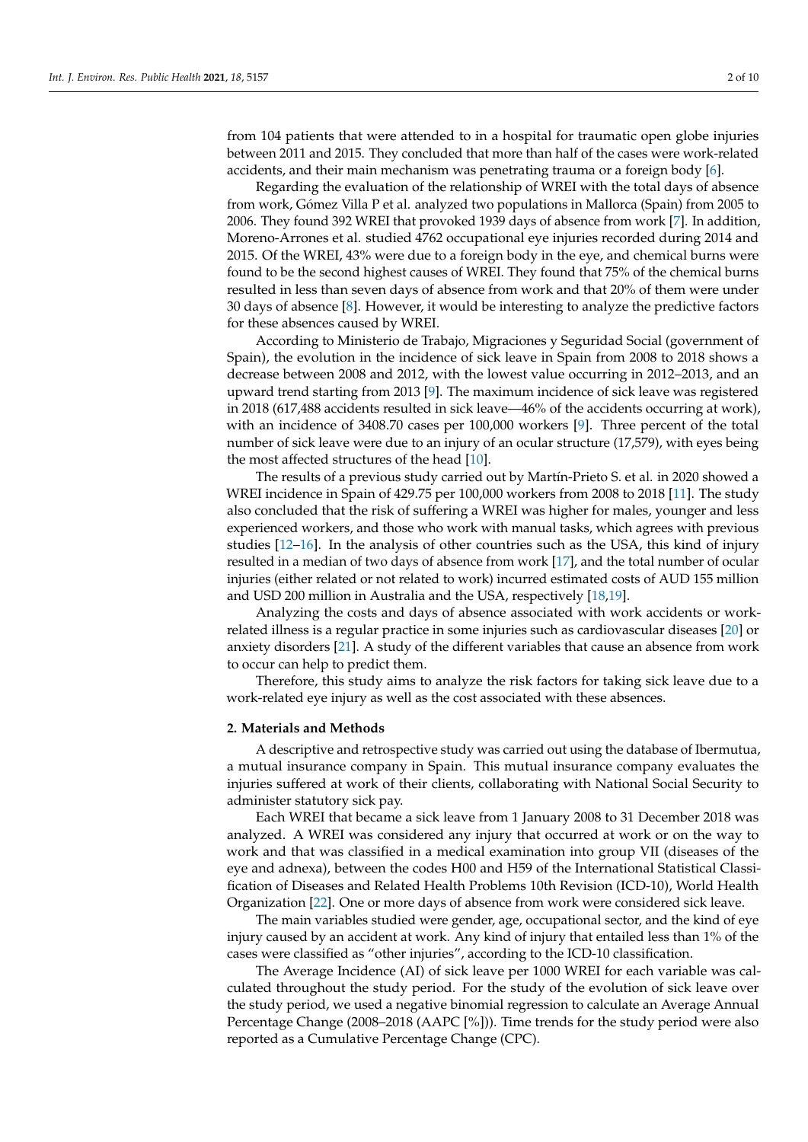from 104 patients that were attended to in a hospital for traumatic open globe injuries between 2011 and 2015. They concluded that more than half of the cases were work-related accidents, and their main mechanism was penetrating trauma or a foreign body [\[6\]](#page-8-5).

Regarding the evaluation of the relationship of WREI with the total days of absence from work, Gómez Villa P et al. analyzed two populations in Mallorca (Spain) from 2005 to 2006. They found 392 WREI that provoked 1939 days of absence from work [\[7\]](#page-8-6). In addition, Moreno-Arrones et al. studied 4762 occupational eye injuries recorded during 2014 and 2015. Of the WREI, 43% were due to a foreign body in the eye, and chemical burns were found to be the second highest causes of WREI. They found that 75% of the chemical burns resulted in less than seven days of absence from work and that 20% of them were under 30 days of absence [\[8\]](#page-8-7). However, it would be interesting to analyze the predictive factors for these absences caused by WREI.

According to Ministerio de Trabajo, Migraciones y Seguridad Social (government of Spain), the evolution in the incidence of sick leave in Spain from 2008 to 2018 shows a decrease between 2008 and 2012, with the lowest value occurring in 2012–2013, and an upward trend starting from 2013 [\[9\]](#page-8-8). The maximum incidence of sick leave was registered in 2018 (617,488 accidents resulted in sick leave—46% of the accidents occurring at work), with an incidence of 3408.70 cases per 100,000 workers [\[9\]](#page-8-8). Three percent of the total number of sick leave were due to an injury of an ocular structure (17,579), with eyes being the most affected structures of the head [\[10\]](#page-8-9).

The results of a previous study carried out by Martín-Prieto S. et al. in 2020 showed a WREI incidence in Spain of 429.75 per 100,000 workers from 2008 to 2018 [\[11\]](#page-8-10). The study also concluded that the risk of suffering a WREI was higher for males, younger and less experienced workers, and those who work with manual tasks, which agrees with previous studies [\[12–](#page-8-11)[16\]](#page-8-12). In the analysis of other countries such as the USA, this kind of injury resulted in a median of two days of absence from work [\[17\]](#page-8-13), and the total number of ocular injuries (either related or not related to work) incurred estimated costs of AUD 155 million and USD 200 million in Australia and the USA, respectively [\[18,](#page-8-14)[19\]](#page-8-15).

Analyzing the costs and days of absence associated with work accidents or workrelated illness is a regular practice in some injuries such as cardiovascular diseases [\[20\]](#page-8-16) or anxiety disorders [\[21\]](#page-8-17). A study of the different variables that cause an absence from work to occur can help to predict them.

Therefore, this study aims to analyze the risk factors for taking sick leave due to a work-related eye injury as well as the cost associated with these absences.

#### **2. Materials and Methods**

A descriptive and retrospective study was carried out using the database of Ibermutua, a mutual insurance company in Spain. This mutual insurance company evaluates the injuries suffered at work of their clients, collaborating with National Social Security to administer statutory sick pay.

Each WREI that became a sick leave from 1 January 2008 to 31 December 2018 was analyzed. A WREI was considered any injury that occurred at work or on the way to work and that was classified in a medical examination into group VII (diseases of the eye and adnexa), between the codes H00 and H59 of the International Statistical Classification of Diseases and Related Health Problems 10th Revision (ICD-10), World Health Organization [\[22\]](#page-8-18). One or more days of absence from work were considered sick leave.

The main variables studied were gender, age, occupational sector, and the kind of eye injury caused by an accident at work. Any kind of injury that entailed less than 1% of the cases were classified as "other injuries", according to the ICD-10 classification.

The Average Incidence (AI) of sick leave per 1000 WREI for each variable was calculated throughout the study period. For the study of the evolution of sick leave over the study period, we used a negative binomial regression to calculate an Average Annual Percentage Change (2008–2018 (AAPC [%])). Time trends for the study period were also reported as a Cumulative Percentage Change (CPC).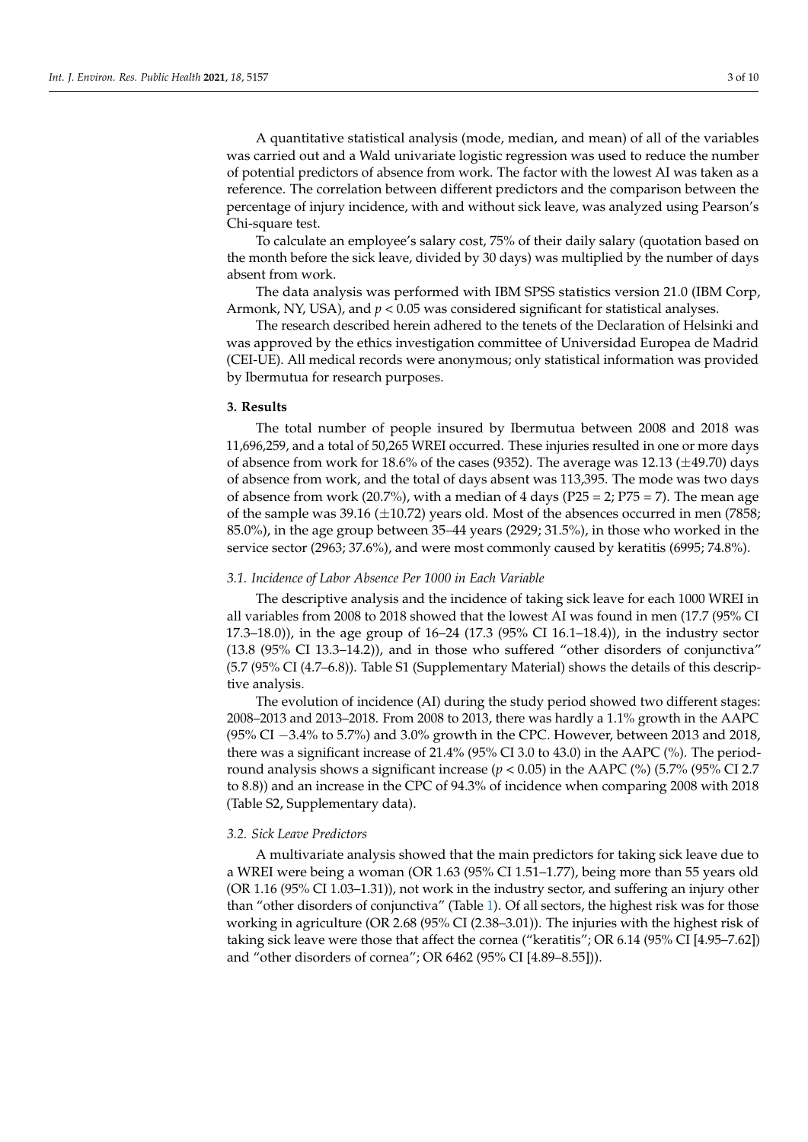A quantitative statistical analysis (mode, median, and mean) of all of the variables was carried out and a Wald univariate logistic regression was used to reduce the number of potential predictors of absence from work. The factor with the lowest AI was taken as a reference. The correlation between different predictors and the comparison between the percentage of injury incidence, with and without sick leave, was analyzed using Pearson's Chi-square test.

To calculate an employee's salary cost, 75% of their daily salary (quotation based on the month before the sick leave, divided by 30 days) was multiplied by the number of days absent from work.

The data analysis was performed with IBM SPSS statistics version 21.0 (IBM Corp, Armonk, NY, USA), and  $p < 0.05$  was considered significant for statistical analyses.

The research described herein adhered to the tenets of the Declaration of Helsinki and was approved by the ethics investigation committee of Universidad Europea de Madrid (CEI-UE). All medical records were anonymous; only statistical information was provided by Ibermutua for research purposes.

# **3. Results**

The total number of people insured by Ibermutua between 2008 and 2018 was 11,696,259, and a total of 50,265 WREI occurred. These injuries resulted in one or more days of absence from work for 18.6% of the cases (9352). The average was  $12.13 \ (\pm 49.70)$  days of absence from work, and the total of days absent was 113,395. The mode was two days of absence from work (20.7%), with a median of 4 days ( $P25 = 2$ ;  $P75 = 7$ ). The mean age of the sample was 39.16 ( $\pm$ 10.72) years old. Most of the absences occurred in men (7858; 85.0%), in the age group between 35–44 years (2929; 31.5%), in those who worked in the service sector (2963; 37.6%), and were most commonly caused by keratitis (6995; 74.8%).

#### *3.1. Incidence of Labor Absence Per 1000 in Each Variable*

The descriptive analysis and the incidence of taking sick leave for each 1000 WREI in all variables from 2008 to 2018 showed that the lowest AI was found in men (17.7 (95% CI 17.3–18.0)), in the age group of 16–24 (17.3 (95% CI 16.1–18.4)), in the industry sector (13.8 (95% CI 13.3–14.2)), and in those who suffered "other disorders of conjunctiva" (5.7 (95% CI (4.7–6.8)). Table S1 (Supplementary Material) shows the details of this descriptive analysis.

The evolution of incidence (AI) during the study period showed two different stages: 2008–2013 and 2013–2018. From 2008 to 2013, there was hardly a 1.1% growth in the AAPC (95% CI −3.4% to 5.7%) and 3.0% growth in the CPC. However, between 2013 and 2018, there was a significant increase of 21.4% (95% CI 3.0 to 43.0) in the AAPC (%). The periodround analysis shows a significant increase ( $p < 0.05$ ) in the AAPC (%) (5.7% (95% CI 2.7 to 8.8)) and an increase in the CPC of 94.3% of incidence when comparing 2008 with 2018 (Table S2, Supplementary data).

#### *3.2. Sick Leave Predictors*

A multivariate analysis showed that the main predictors for taking sick leave due to a WREI were being a woman (OR 1.63 (95% CI 1.51–1.77), being more than 55 years old (OR 1.16 (95% CI 1.03–1.31)), not work in the industry sector, and suffering an injury other than "other disorders of conjunctiva" (Table [1\)](#page-3-0). Of all sectors, the highest risk was for those working in agriculture (OR 2.68 (95% CI (2.38–3.01)). The injuries with the highest risk of taking sick leave were those that affect the cornea ("keratitis"; OR 6.14 (95% CI [4.95–7.62]) and "other disorders of cornea"; OR 6462 (95% CI [4.89–8.55])).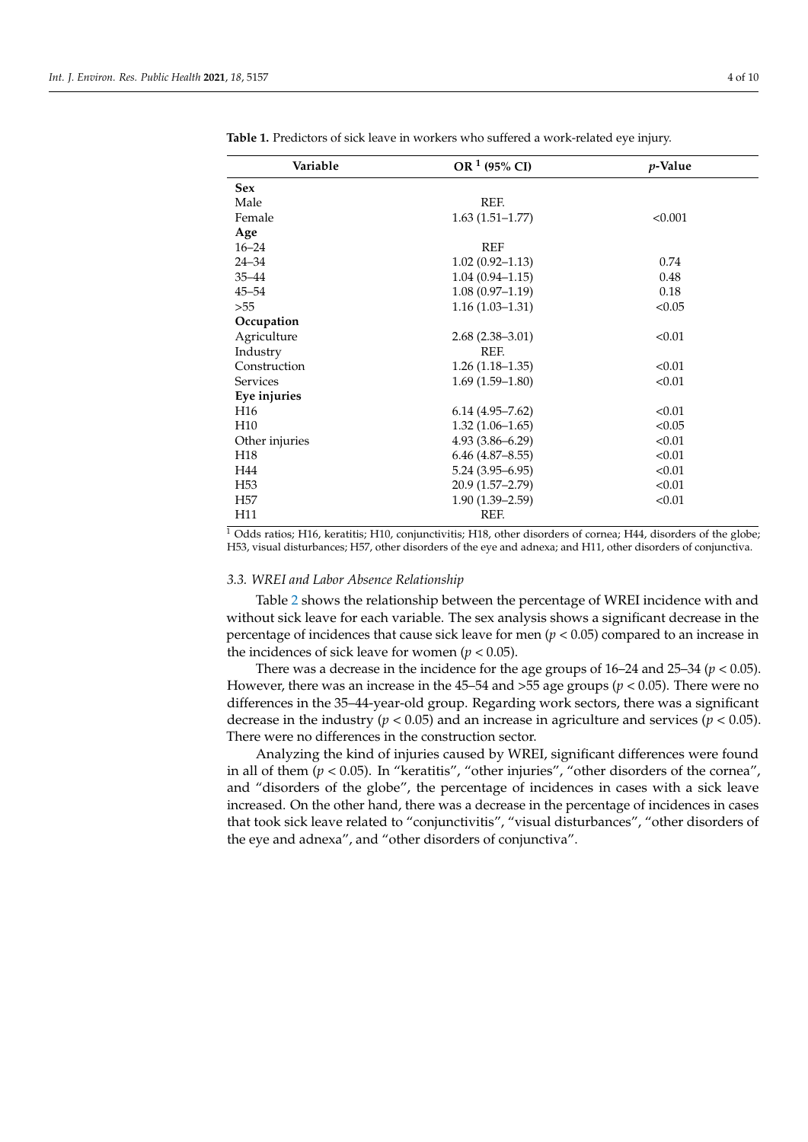| OR $1$ (95% CI)     | <i>p</i> -Value |
|---------------------|-----------------|
|                     |                 |
| REF.                |                 |
| $1.63(1.51 - 1.77)$ | < 0.001         |
|                     |                 |
| <b>REF</b>          |                 |
| $1.02(0.92 - 1.13)$ | 0.74            |
| $1.04(0.94 - 1.15)$ | 0.48            |
| $1.08(0.97-1.19)$   | 0.18            |
| $1.16(1.03 - 1.31)$ | < 0.05          |
|                     |                 |
| $2.68(2.38-3.01)$   | < 0.01          |
| REF.                |                 |
| $1.26(1.18-1.35)$   | < 0.01          |
| $1.69(1.59 - 1.80)$ | < 0.01          |
|                     |                 |
| $6.14(4.95 - 7.62)$ | < 0.01          |
| $1.32(1.06 - 1.65)$ | < 0.05          |
| $4.93(3.86 - 6.29)$ | < 0.01          |
| $6.46$ (4.87-8.55)  | < 0.01          |
| $5.24(3.95 - 6.95)$ | < 0.01          |
| 20.9 (1.57-2.79)    | < 0.01          |
| $1.90(1.39 - 2.59)$ | < 0.01          |
| REF.                |                 |
|                     |                 |

<span id="page-3-0"></span>**Table 1.** Predictors of sick leave in workers who suffered a work-related eye injury.

 $1$  Odds ratios; H16, keratitis; H10, conjunctivitis; H18, other disorders of cornea; H44, disorders of the globe; H53, visual disturbances; H57, other disorders of the eye and adnexa; and H11, other disorders of conjunctiva.

## *3.3. WREI and Labor Absence Relationship*

Table [2](#page-4-0) shows the relationship between the percentage of WREI incidence with and without sick leave for each variable. The sex analysis shows a significant decrease in the percentage of incidences that cause sick leave for men  $(p < 0.05)$  compared to an increase in the incidences of sick leave for women ( $p < 0.05$ ).

There was a decrease in the incidence for the age groups of 16–24 and 25–34 (*p* < 0.05). However, there was an increase in the  $45-54$  and  $>55$  age groups ( $p < 0.05$ ). There were no differences in the 35–44-year-old group. Regarding work sectors, there was a significant decrease in the industry ( $p < 0.05$ ) and an increase in agriculture and services ( $p < 0.05$ ). There were no differences in the construction sector.

Analyzing the kind of injuries caused by WREI, significant differences were found in all of them ( $p < 0.05$ ). In "keratitis", "other injuries", "other disorders of the cornea", and "disorders of the globe", the percentage of incidences in cases with a sick leave increased. On the other hand, there was a decrease in the percentage of incidences in cases that took sick leave related to "conjunctivitis", "visual disturbances", "other disorders of the eye and adnexa", and "other disorders of conjunctiva".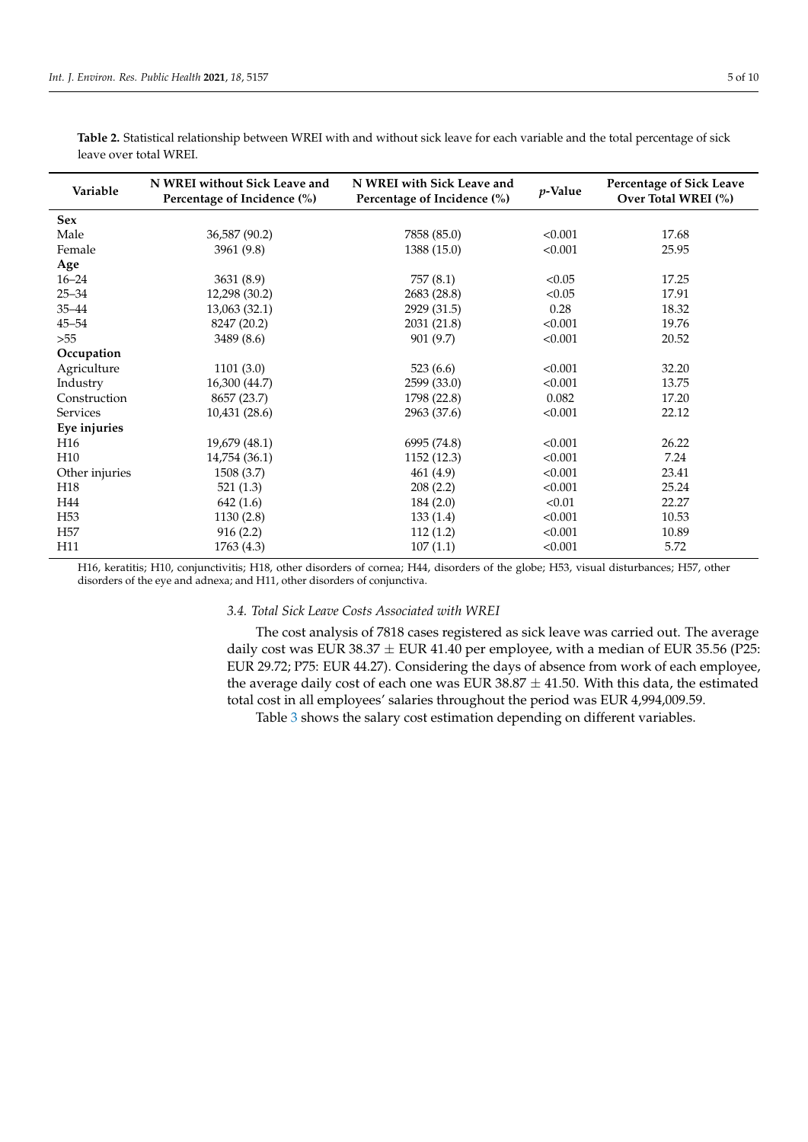<span id="page-4-0"></span>**Table 2.** Statistical relationship between WREI with and without sick leave for each variable and the total percentage of sick leave over total WREI.

| Variable        | N WREI without Sick Leave and<br>Percentage of Incidence (%) | N WREI with Sick Leave and<br>Percentage of Incidence (%) | $p$ -Value | <b>Percentage of Sick Leave</b><br>Over Total WREI (%) |  |
|-----------------|--------------------------------------------------------------|-----------------------------------------------------------|------------|--------------------------------------------------------|--|
| Sex             |                                                              |                                                           |            |                                                        |  |
| Male            | 36,587 (90.2)                                                | 7858 (85.0)                                               | < 0.001    | 17.68                                                  |  |
| Female          | 3961 (9.8)                                                   | 1388 (15.0)                                               | < 0.001    | 25.95                                                  |  |
| Age             |                                                              |                                                           |            |                                                        |  |
| $16 - 24$       | 3631(8.9)                                                    | 757 (8.1)                                                 | < 0.05     | 17.25                                                  |  |
| $25 - 34$       | 12,298 (30.2)                                                | 2683 (28.8)                                               | < 0.05     | 17.91                                                  |  |
| $35 - 44$       | 13,063 (32.1)                                                | 2929 (31.5)                                               | 0.28       | 18.32                                                  |  |
| $45 - 54$       | 8247 (20.2)                                                  | 2031 (21.8)                                               | < 0.001    | 19.76                                                  |  |
| $>55$           | 3489 (8.6)                                                   | 901 (9.7)                                                 | < 0.001    | 20.52                                                  |  |
| Occupation      |                                                              |                                                           |            |                                                        |  |
| Agriculture     | 1101(3.0)                                                    | 523(6.6)                                                  | < 0.001    | 32.20                                                  |  |
| Industry        | 16,300 (44.7)                                                | 2599 (33.0)                                               | < 0.001    | 13.75                                                  |  |
| Construction    | 8657 (23.7)                                                  | 1798 (22.8)                                               | 0.082      | 17.20                                                  |  |
| <b>Services</b> | 10,431 (28.6)                                                | 2963 (37.6)                                               | < 0.001    | 22.12                                                  |  |
| Eye injuries    |                                                              |                                                           |            |                                                        |  |
| H <sub>16</sub> | 19,679 (48.1)                                                | 6995 (74.8)                                               | < 0.001    | 26.22                                                  |  |
| H10             | 14,754 (36.1)                                                | 1152 (12.3)                                               | < 0.001    | 7.24                                                   |  |
| Other injuries  | 1508 (3.7)                                                   | 461(4.9)                                                  | < 0.001    | 23.41                                                  |  |
| H18             | 521(1.3)                                                     | 208(2.2)                                                  | < 0.001    | 25.24                                                  |  |
| H44             | 642 (1.6)                                                    | 184(2.0)                                                  | < 0.01     | 22.27                                                  |  |
| H <sub>53</sub> | 1130(2.8)                                                    | 133(1.4)                                                  | < 0.001    | 10.53                                                  |  |
| H <sub>57</sub> | 916(2.2)                                                     | 112(1.2)                                                  | < 0.001    | 10.89                                                  |  |
| H11             | 1763 (4.3)                                                   | 107(1.1)                                                  | < 0.001    | 5.72                                                   |  |

H16, keratitis; H10, conjunctivitis; H18, other disorders of cornea; H44, disorders of the globe; H53, visual disturbances; H57, other disorders of the eye and adnexa; and H11, other disorders of conjunctiva.

## *3.4. Total Sick Leave Costs Associated with WREI*

The cost analysis of 7818 cases registered as sick leave was carried out. The average daily cost was EUR 38.37  $\pm$  EUR 41.40 per employee, with a median of EUR 35.56 (P25: EUR 29.72; P75: EUR 44.27). Considering the days of absence from work of each employee, the average daily cost of each one was EUR  $38.87 \pm 41.50$ . With this data, the estimated total cost in all employees' salaries throughout the period was EUR 4,994,009.59.

Table [3](#page-5-0) shows the salary cost estimation depending on different variables.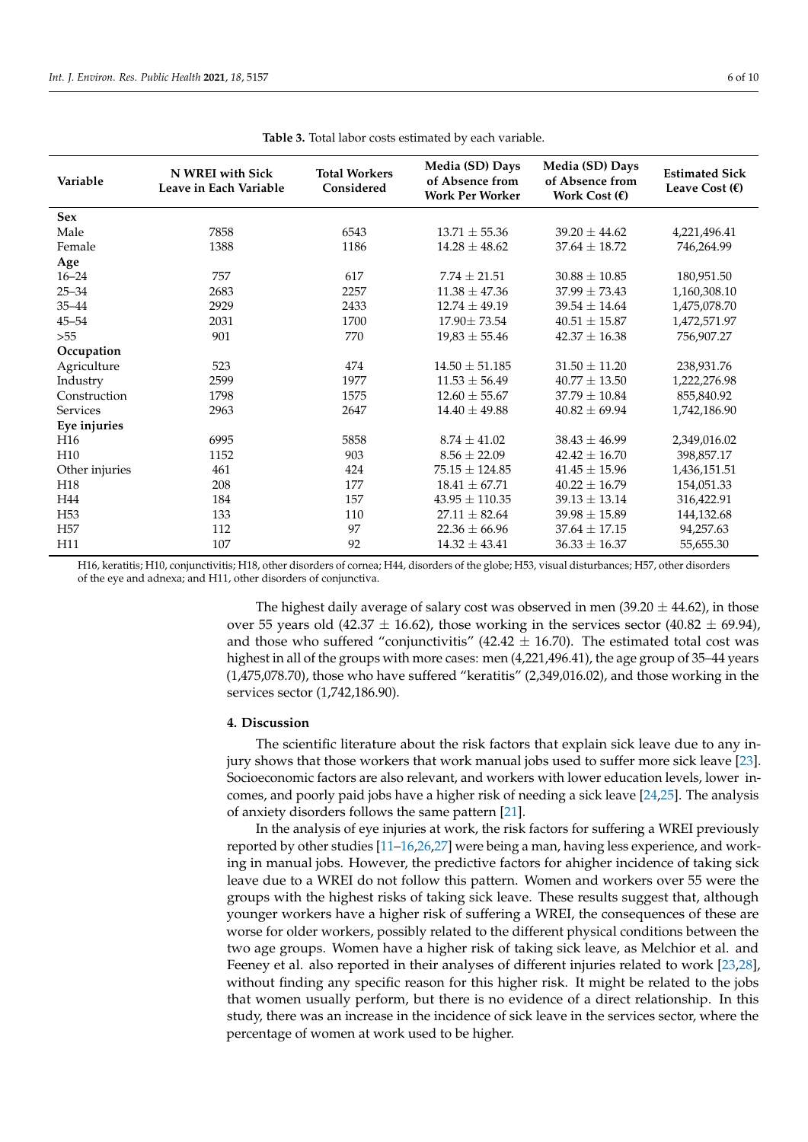<span id="page-5-0"></span>

| Variable        | N WREI with Sick<br>Leave in Each Variable | <b>Total Workers</b><br>Considered | Media (SD) Days<br>of Absence from<br><b>Work Per Worker</b> | Media (SD) Days<br>of Absence from<br>Work Cost $(\epsilon)$ | <b>Estimated Sick</b><br>Leave Cost $(\epsilon)$ |
|-----------------|--------------------------------------------|------------------------------------|--------------------------------------------------------------|--------------------------------------------------------------|--------------------------------------------------|
| <b>Sex</b>      |                                            |                                    |                                                              |                                                              |                                                  |
| Male            | 7858                                       | 6543                               | $13.71 \pm 55.36$                                            | $39.20 \pm 44.62$                                            | 4,221,496.41                                     |
| Female          | 1388                                       | 1186                               | $14.28 \pm 48.62$                                            | $37.64 \pm 18.72$                                            | 746,264.99                                       |
| Age             |                                            |                                    |                                                              |                                                              |                                                  |
| $16 - 24$       | 757                                        | 617                                | $7.74 \pm 21.51$                                             | $30.88 \pm 10.85$                                            | 180,951.50                                       |
| $25 - 34$       | 2683                                       | 2257                               | $11.38 \pm 47.36$                                            | $37.99 \pm 73.43$                                            | 1,160,308.10                                     |
| $35 - 44$       | 2929                                       | 2433                               | $12.74 + 49.19$                                              | $39.54 \pm 14.64$                                            | 1,475,078.70                                     |
| $45 - 54$       | 2031                                       | 1700                               | $17.90 \pm 73.54$                                            | $40.51 \pm 15.87$                                            | 1,472,571.97                                     |
| >55             | 901                                        | 770                                | $19,83 \pm 55.46$                                            | $42.37 \pm 16.38$                                            | 756,907.27                                       |
| Occupation      |                                            |                                    |                                                              |                                                              |                                                  |
| Agriculture     | 523                                        | 474                                | $14.50 \pm 51.185$                                           | $31.50 \pm 11.20$                                            | 238,931.76                                       |
| Industry        | 2599                                       | 1977                               | $11.53 \pm 56.49$                                            | $40.77 \pm 13.50$                                            | 1,222,276.98                                     |
| Construction    | 1798                                       | 1575                               | $12.60 \pm 55.67$                                            | $37.79 \pm 10.84$                                            | 855,840.92                                       |
| <b>Services</b> | 2963                                       | 2647                               | $14.40 \pm 49.88$                                            | $40.82 \pm 69.94$                                            | 1,742,186.90                                     |
| Eye injuries    |                                            |                                    |                                                              |                                                              |                                                  |
| H <sub>16</sub> | 6995                                       | 5858                               | $8.74 \pm 41.02$                                             | $38.43 \pm 46.99$                                            | 2,349,016.02                                     |
| H <sub>10</sub> | 1152                                       | 903                                | $8.56 \pm 22.09$                                             | $42.42 \pm 16.70$                                            | 398,857.17                                       |
| Other injuries  | 461                                        | 424                                | $75.15 \pm 124.85$                                           | $41.45 \pm 15.96$                                            | 1,436,151.51                                     |
| H18             | 208                                        | 177                                | $18.41 \pm 67.71$                                            | $40.22 \pm 16.79$                                            | 154,051.33                                       |
| H44             | 184                                        | 157                                | $43.95 \pm 110.35$                                           | $39.13 \pm 13.14$                                            | 316,422.91                                       |
| H <sub>53</sub> | 133                                        | 110                                | $27.11 \pm 82.64$                                            | $39.98 \pm 15.89$                                            | 144,132.68                                       |
| H <sub>57</sub> | 112                                        | 97                                 | $22.36 \pm 66.96$                                            | $37.64 \pm 17.15$                                            | 94,257.63                                        |
| H11             | 107                                        | 92                                 | $14.32 \pm 43.41$                                            | $36.33 \pm 16.37$                                            | 55,655.30                                        |

**Table 3.** Total labor costs estimated by each variable.

H16, keratitis; H10, conjunctivitis; H18, other disorders of cornea; H44, disorders of the globe; H53, visual disturbances; H57, other disorders of the eye and adnexa; and H11, other disorders of conjunctiva.

> The highest daily average of salary cost was observed in men  $(39.20 \pm 44.62)$ , in those over 55 years old (42.37  $\pm$  16.62), those working in the services sector (40.82  $\pm$  69.94), and those who suffered "conjunctivitis"  $(42.42 \pm 16.70)$ . The estimated total cost was highest in all of the groups with more cases: men (4,221,496.41), the age group of 35–44 years (1,475,078.70), those who have suffered "keratitis" (2,349,016.02), and those working in the services sector (1,742,186.90).

#### **4. Discussion**

The scientific literature about the risk factors that explain sick leave due to any injury shows that those workers that work manual jobs used to suffer more sick leave [\[23\]](#page-8-19). Socioeconomic factors are also relevant, and workers with lower education levels, lower incomes, and poorly paid jobs have a higher risk of needing a sick leave [\[24](#page-9-0)[,25\]](#page-9-1). The analysis of anxiety disorders follows the same pattern [\[21\]](#page-8-17).

In the analysis of eye injuries at work, the risk factors for suffering a WREI previously reported by other studies [\[11](#page-8-10)[–16,](#page-8-12)[26,](#page-9-2)[27\]](#page-9-3) were being a man, having less experience, and working in manual jobs. However, the predictive factors for ahigher incidence of taking sick leave due to a WREI do not follow this pattern. Women and workers over 55 were the groups with the highest risks of taking sick leave. These results suggest that, although younger workers have a higher risk of suffering a WREI, the consequences of these are worse for older workers, possibly related to the different physical conditions between the two age groups. Women have a higher risk of taking sick leave, as Melchior et al. and Feeney et al. also reported in their analyses of different injuries related to work [\[23,](#page-8-19)[28\]](#page-9-4), without finding any specific reason for this higher risk. It might be related to the jobs that women usually perform, but there is no evidence of a direct relationship. In this study, there was an increase in the incidence of sick leave in the services sector, where the percentage of women at work used to be higher.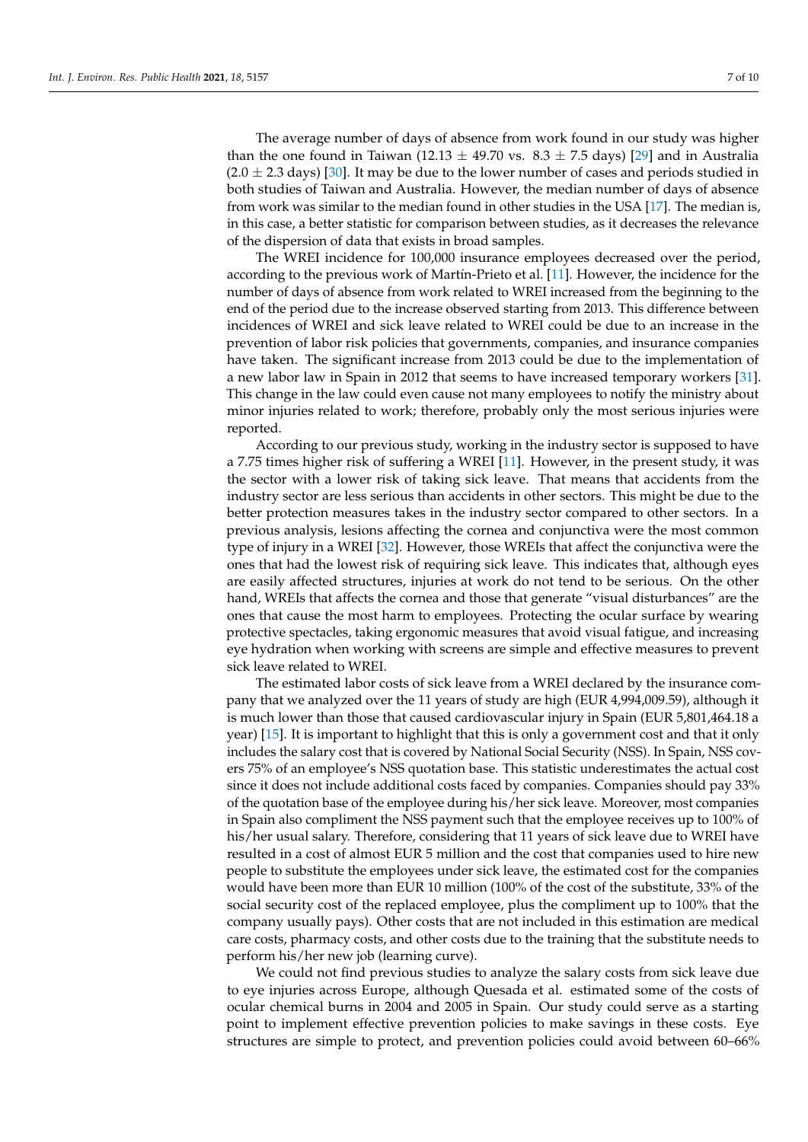The average number of days of absence from work found in our study was higher than the one found in Taiwan (12.13  $\pm$  49.70 vs. 8.3  $\pm$  7.5 days) [\[29\]](#page-9-5) and in Australia  $(2.0 \pm 2.3$  days) [\[30\]](#page-9-6). It may be due to the lower number of cases and periods studied in both studies of Taiwan and Australia. However, the median number of days of absence from work was similar to the median found in other studies in the USA [\[17\]](#page-8-13). The median is, in this case, a better statistic for comparison between studies, as it decreases the relevance of the dispersion of data that exists in broad samples.

The WREI incidence for 100,000 insurance employees decreased over the period, according to the previous work of Martín-Prieto et al. [\[11\]](#page-8-10). However, the incidence for the number of days of absence from work related to WREI increased from the beginning to the end of the period due to the increase observed starting from 2013. This difference between incidences of WREI and sick leave related to WREI could be due to an increase in the prevention of labor risk policies that governments, companies, and insurance companies have taken. The significant increase from 2013 could be due to the implementation of a new labor law in Spain in 2012 that seems to have increased temporary workers [\[31\]](#page-9-7). This change in the law could even cause not many employees to notify the ministry about minor injuries related to work; therefore, probably only the most serious injuries were reported.

According to our previous study, working in the industry sector is supposed to have a 7.75 times higher risk of suffering a WREI [\[11\]](#page-8-10). However, in the present study, it was the sector with a lower risk of taking sick leave. That means that accidents from the industry sector are less serious than accidents in other sectors. This might be due to the better protection measures takes in the industry sector compared to other sectors. In a previous analysis, lesions affecting the cornea and conjunctiva were the most common type of injury in a WREI [\[32\]](#page-9-8). However, those WREIs that affect the conjunctiva were the ones that had the lowest risk of requiring sick leave. This indicates that, although eyes are easily affected structures, injuries at work do not tend to be serious. On the other hand, WREIs that affects the cornea and those that generate "visual disturbances" are the ones that cause the most harm to employees. Protecting the ocular surface by wearing protective spectacles, taking ergonomic measures that avoid visual fatigue, and increasing eye hydration when working with screens are simple and effective measures to prevent sick leave related to WREI.

The estimated labor costs of sick leave from a WREI declared by the insurance company that we analyzed over the 11 years of study are high (EUR 4,994,009.59), although it is much lower than those that caused cardiovascular injury in Spain (EUR 5,801,464.18 a year) [\[15\]](#page-8-20). It is important to highlight that this is only a government cost and that it only includes the salary cost that is covered by National Social Security (NSS). In Spain, NSS covers 75% of an employee's NSS quotation base. This statistic underestimates the actual cost since it does not include additional costs faced by companies. Companies should pay 33% of the quotation base of the employee during his/her sick leave. Moreover, most companies in Spain also compliment the NSS payment such that the employee receives up to 100% of his/her usual salary. Therefore, considering that 11 years of sick leave due to WREI have resulted in a cost of almost EUR 5 million and the cost that companies used to hire new people to substitute the employees under sick leave, the estimated cost for the companies would have been more than EUR 10 million (100% of the cost of the substitute, 33% of the social security cost of the replaced employee, plus the compliment up to 100% that the company usually pays). Other costs that are not included in this estimation are medical care costs, pharmacy costs, and other costs due to the training that the substitute needs to perform his/her new job (learning curve).

We could not find previous studies to analyze the salary costs from sick leave due to eye injuries across Europe, although Quesada et al. estimated some of the costs of ocular chemical burns in 2004 and 2005 in Spain. Our study could serve as a starting point to implement effective prevention policies to make savings in these costs. Eye structures are simple to protect, and prevention policies could avoid between 60–66%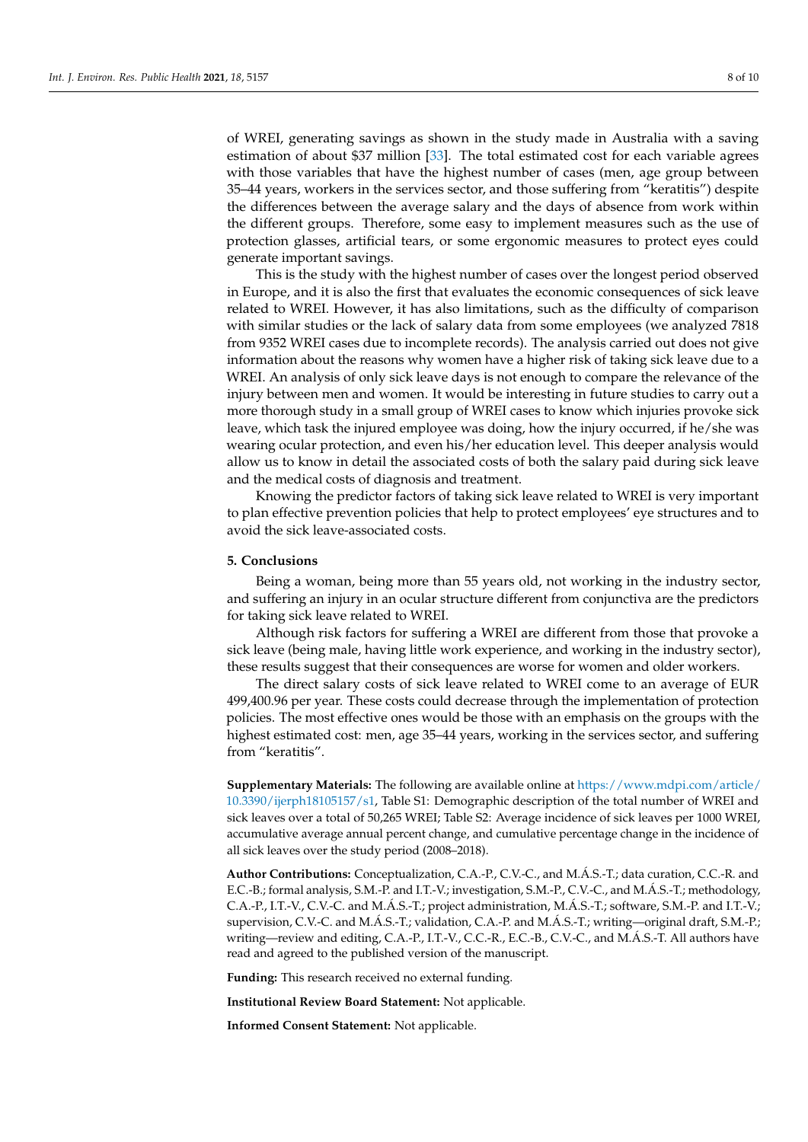of WREI, generating savings as shown in the study made in Australia with a saving estimation of about \$37 million [\[33\]](#page-9-9). The total estimated cost for each variable agrees with those variables that have the highest number of cases (men, age group between 35–44 years, workers in the services sector, and those suffering from "keratitis") despite the differences between the average salary and the days of absence from work within the different groups. Therefore, some easy to implement measures such as the use of protection glasses, artificial tears, or some ergonomic measures to protect eyes could generate important savings.

This is the study with the highest number of cases over the longest period observed in Europe, and it is also the first that evaluates the economic consequences of sick leave related to WREI. However, it has also limitations, such as the difficulty of comparison with similar studies or the lack of salary data from some employees (we analyzed 7818 from 9352 WREI cases due to incomplete records). The analysis carried out does not give information about the reasons why women have a higher risk of taking sick leave due to a WREI. An analysis of only sick leave days is not enough to compare the relevance of the injury between men and women. It would be interesting in future studies to carry out a more thorough study in a small group of WREI cases to know which injuries provoke sick leave, which task the injured employee was doing, how the injury occurred, if he/she was wearing ocular protection, and even his/her education level. This deeper analysis would allow us to know in detail the associated costs of both the salary paid during sick leave and the medical costs of diagnosis and treatment.

Knowing the predictor factors of taking sick leave related to WREI is very important to plan effective prevention policies that help to protect employees' eye structures and to avoid the sick leave-associated costs.

# **5. Conclusions**

Being a woman, being more than 55 years old, not working in the industry sector, and suffering an injury in an ocular structure different from conjunctiva are the predictors for taking sick leave related to WREI.

Although risk factors for suffering a WREI are different from those that provoke a sick leave (being male, having little work experience, and working in the industry sector), these results suggest that their consequences are worse for women and older workers.

The direct salary costs of sick leave related to WREI come to an average of EUR 499,400.96 per year. These costs could decrease through the implementation of protection policies. The most effective ones would be those with an emphasis on the groups with the highest estimated cost: men, age 35–44 years, working in the services sector, and suffering from "keratitis".

**Supplementary Materials:** The following are available online at [https://www.mdpi.com/article/](https://www.mdpi.com/article/10.3390/ijerph18105157/s1) [10.3390/ijerph18105157/s1,](https://www.mdpi.com/article/10.3390/ijerph18105157/s1) Table S1: Demographic description of the total number of WREI and sick leaves over a total of 50,265 WREI; Table S2: Average incidence of sick leaves per 1000 WREI, accumulative average annual percent change, and cumulative percentage change in the incidence of all sick leaves over the study period (2008–2018).

**Author Contributions:** Conceptualization, C.A.-P., C.V.-C., and M.Á.S.-T.; data curation, C.C.-R. and E.C.-B.; formal analysis, S.M.-P. and I.T.-V.; investigation, S.M.-P., C.V.-C., and M.Á.S.-T.; methodology, C.A.-P., I.T.-V., C.V.-C. and M.Á.S.-T.; project administration, M.Á.S.-T.; software, S.M.-P. and I.T.-V.; supervision, C.V.-C. and M.Á.S.-T.; validation, C.A.-P. and M.Á.S.-T.; writing—original draft, S.M.-P.; writing—review and editing, C.A.-P., I.T.-V., C.C.-R., E.C.-B., C.V.-C., and M.Á.S.-T. All authors have read and agreed to the published version of the manuscript.

**Funding:** This research received no external funding.

**Institutional Review Board Statement:** Not applicable.

**Informed Consent Statement:** Not applicable.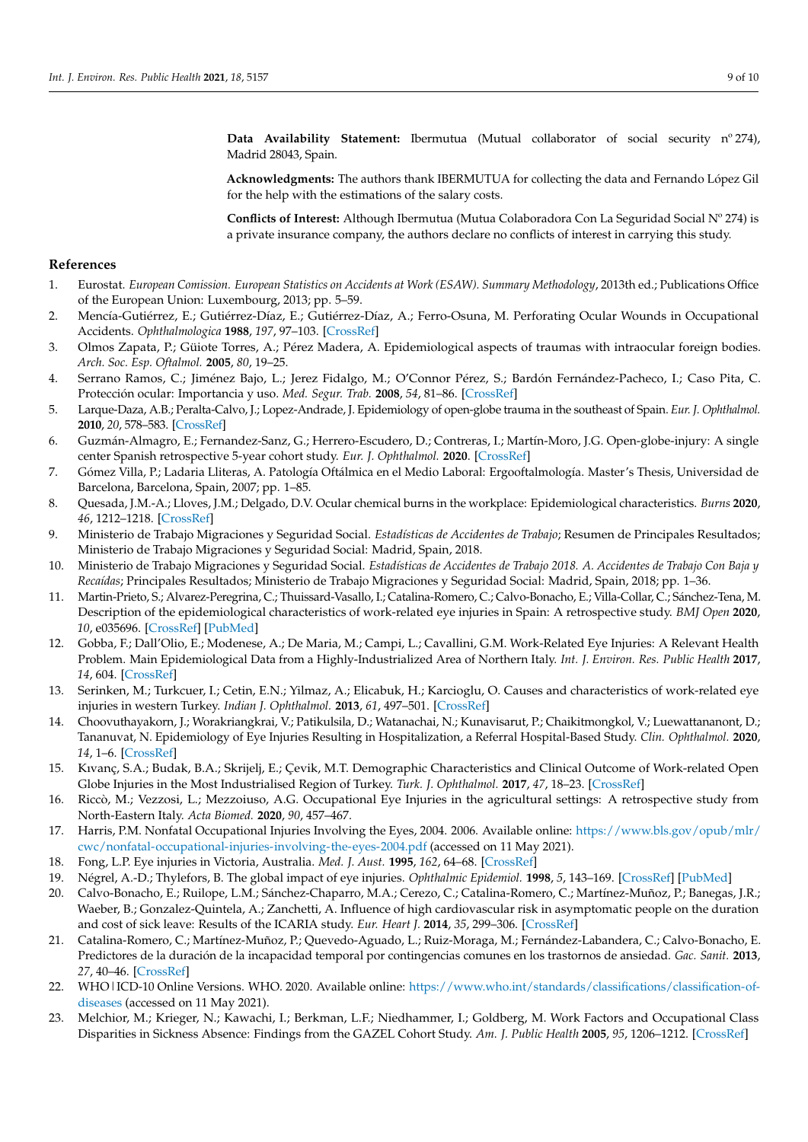**Data Availability Statement:** Ibermutua (Mutual collaborator of social security nº 274), Madrid 28043, Spain.

**Acknowledgments:** The authors thank IBERMUTUA for collecting the data and Fernando López Gil for the help with the estimations of the salary costs.

**Conflicts of Interest:** Although Ibermutua (Mutua Colaboradora Con La Seguridad Social Nº 274) is a private insurance company, the authors declare no conflicts of interest in carrying this study.

### **References**

- <span id="page-8-0"></span>1. Eurostat. *European Comission. European Statistics on Accidents at Work (ESAW). Summary Methodology*, 2013th ed.; Publications Office of the European Union: Luxembourg, 2013; pp. 5–59.
- <span id="page-8-1"></span>2. Mencía-Gutiérrez, E.; Gutiérrez-Díaz, E.; Gutiérrez-Díaz, A.; Ferro-Osuna, M. Perforating Ocular Wounds in Occupational Accidents. *Ophthalmologica* **1988**, *197*, 97–103. [\[CrossRef\]](http://doi.org/10.1159/000309927)
- <span id="page-8-2"></span>3. Olmos Zapata, P.; Güiote Torres, A.; Pérez Madera, A. Epidemiological aspects of traumas with intraocular foreign bodies. *Arch. Soc. Esp. Oftalmol.* **2005**, *80*, 19–25.
- <span id="page-8-3"></span>4. Serrano Ramos, C.; Jiménez Bajo, L.; Jerez Fidalgo, M.; O'Connor Pérez, S.; Bardón Fernández-Pacheco, I.; Caso Pita, C. Protección ocular: Importancia y uso. *Med. Segur. Trab.* **2008**, *54*, 81–86. [\[CrossRef\]](http://doi.org/10.4321/S0465-546X2008000400009)
- <span id="page-8-4"></span>5. Larque-Daza, A.B.; Peralta-Calvo, J.; Lopez-Andrade, J. Epidemiology of open-globe trauma in the southeast of Spain. *Eur. J. Ophthalmol.* **2010**, *20*, 578–583. [\[CrossRef\]](http://doi.org/10.1177/112067211002000307)
- <span id="page-8-5"></span>6. Guzmán-Almagro, E.; Fernandez-Sanz, G.; Herrero-Escudero, D.; Contreras, I.; Martín-Moro, J.G. Open-globe-injury: A single center Spanish retrospective 5-year cohort study. *Eur. J. Ophthalmol.* **2020**. [\[CrossRef\]](http://doi.org/10.1177/1120672120962039)
- <span id="page-8-6"></span>7. Gómez Villa, P.; Ladaria Lliteras, A. Patología Oftálmica en el Medio Laboral: Ergooftalmología. Master's Thesis, Universidad de Barcelona, Barcelona, Spain, 2007; pp. 1–85.
- <span id="page-8-7"></span>8. Quesada, J.M.-A.; Lloves, J.M.; Delgado, D.V. Ocular chemical burns in the workplace: Epidemiological characteristics. *Burns* **2020**, *46*, 1212–1218. [\[CrossRef\]](http://doi.org/10.1016/j.burns.2019.11.007)
- <span id="page-8-8"></span>9. Ministerio de Trabajo Migraciones y Seguridad Social. *Estadísticas de Accidentes de Trabajo*; Resumen de Principales Resultados; Ministerio de Trabajo Migraciones y Seguridad Social: Madrid, Spain, 2018.
- <span id="page-8-9"></span>10. Ministerio de Trabajo Migraciones y Seguridad Social. *Estadísticas de Accidentes de Trabajo 2018. A. Accidentes de Trabajo Con Baja y Recaídas*; Principales Resultados; Ministerio de Trabajo Migraciones y Seguridad Social: Madrid, Spain, 2018; pp. 1–36.
- <span id="page-8-10"></span>11. Martin-Prieto, S.; Alvarez-Peregrina, C.; Thuissard-Vasallo, I.; Catalina-Romero, C.; Calvo-Bonacho, E.; Villa-Collar, C.; Sánchez-Tena, M. Description of the epidemiological characteristics of work-related eye injuries in Spain: A retrospective study. *BMJ Open* **2020**, *10*, e035696. [\[CrossRef\]](http://doi.org/10.1136/bmjopen-2019-035696) [\[PubMed\]](http://www.ncbi.nlm.nih.gov/pubmed/33060079)
- <span id="page-8-11"></span>12. Gobba, F.; Dall'Olio, E.; Modenese, A.; De Maria, M.; Campi, L.; Cavallini, G.M. Work-Related Eye Injuries: A Relevant Health Problem. Main Epidemiological Data from a Highly-Industrialized Area of Northern Italy. *Int. J. Environ. Res. Public Health* **2017**, *14*, 604. [\[CrossRef\]](http://doi.org/10.3390/ijerph14060604)
- 13. Serinken, M.; Turkcuer, I.; Cetin, E.N.; Yilmaz, A.; Elicabuk, H.; Karcioglu, O. Causes and characteristics of work-related eye injuries in western Turkey. *Indian J. Ophthalmol.* **2013**, *61*, 497–501. [\[CrossRef\]](http://doi.org/10.4103/0301-4738.119435)
- 14. Choovuthayakorn, J.; Worakriangkrai, V.; Patikulsila, D.; Watanachai, N.; Kunavisarut, P.; Chaikitmongkol, V.; Luewattananont, D.; Tananuvat, N. Epidemiology of Eye Injuries Resulting in Hospitalization, a Referral Hospital-Based Study. *Clin. Ophthalmol.* **2020**, *14*, 1–6. [\[CrossRef\]](http://doi.org/10.2147/OPTH.S234035)
- <span id="page-8-20"></span>15. Kıvanç, S.A.; Budak, B.A.; Skrijelj, E.; Çevik, M.T. Demographic Characteristics and Clinical Outcome of Work-related Open Globe Injuries in the Most Industrialised Region of Turkey. *Turk. J. Ophthalmol.* **2017**, *47*, 18–23. [\[CrossRef\]](http://doi.org/10.4274/tjo.81598)
- <span id="page-8-12"></span>16. Riccò, M.; Vezzosi, L.; Mezzoiuso, A.G. Occupational Eye Injuries in the agricultural settings: A retrospective study from North-Eastern Italy. *Acta Biomed.* **2020**, *90*, 457–467.
- <span id="page-8-13"></span>17. Harris, P.M. Nonfatal Occupational Injuries Involving the Eyes, 2004. 2006. Available online: [https://www.bls.gov/opub/mlr/](https://www.bls.gov/opub/mlr/cwc/nonfatal-occupational-injuries-involving-the-eyes-2004.pdf) [cwc/nonfatal-occupational-injuries-involving-the-eyes-2004.pdf](https://www.bls.gov/opub/mlr/cwc/nonfatal-occupational-injuries-involving-the-eyes-2004.pdf) (accessed on 11 May 2021).
- <span id="page-8-14"></span>18. Fong, L.P. Eye injuries in Victoria, Australia. *Med. J. Aust.* **1995**, *162*, 64–68. [\[CrossRef\]](http://doi.org/10.5694/j.1326-5377.1995.tb138434.x)
- <span id="page-8-15"></span>19. Négrel, A.-D.; Thylefors, B. The global impact of eye injuries. *Ophthalmic Epidemiol.* **1998**, *5*, 143–169. [\[CrossRef\]](http://doi.org/10.1076/opep.5.3.143.8364) [\[PubMed\]](http://www.ncbi.nlm.nih.gov/pubmed/9805347)
- <span id="page-8-16"></span>20. Calvo-Bonacho, E.; Ruilope, L.M.; Sánchez-Chaparro, M.A.; Cerezo, C.; Catalina-Romero, C.; Martínez-Muñoz, P.; Banegas, J.R.; Waeber, B.; Gonzalez-Quintela, A.; Zanchetti, A. Influence of high cardiovascular risk in asymptomatic people on the duration and cost of sick leave: Results of the ICARIA study. *Eur. Heart J.* **2014**, *35*, 299–306. [\[CrossRef\]](http://doi.org/10.1093/eurheartj/eht156)
- <span id="page-8-17"></span>21. Catalina-Romero, C.; Martínez-Muñoz, P.; Quevedo-Aguado, L.; Ruiz-Moraga, M.; Fernández-Labandera, C.; Calvo-Bonacho, E. Predictores de la duración de la incapacidad temporal por contingencias comunes en los trastornos de ansiedad. *Gac. Sanit.* **2013**, *27*, 40–46. [\[CrossRef\]](http://doi.org/10.1016/j.gaceta.2011.12.008)
- <span id="page-8-18"></span>22. WHO|ICD-10 Online Versions. WHO. 2020. Available online: [https://www.who.int/standards/classifications/classification-of](https://www.who.int/standards/classifications/classification-of-diseases)[diseases](https://www.who.int/standards/classifications/classification-of-diseases) (accessed on 11 May 2021).
- <span id="page-8-19"></span>23. Melchior, M.; Krieger, N.; Kawachi, I.; Berkman, L.F.; Niedhammer, I.; Goldberg, M. Work Factors and Occupational Class Disparities in Sickness Absence: Findings from the GAZEL Cohort Study. *Am. J. Public Health* **2005**, *95*, 1206–1212. [\[CrossRef\]](http://doi.org/10.2105/AJPH.2004.048835)